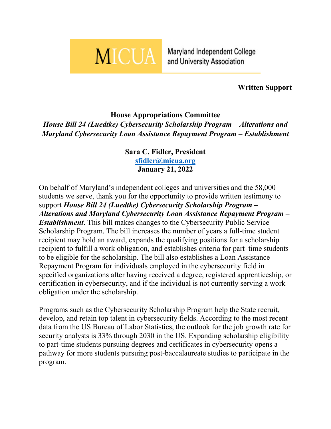

Maryland Independent College and University Association

**Written Support**

## **House Appropriations Committee**

*House Bill 24 (Luedtke) Cybersecurity Scholarship Program – Alterations and Maryland Cybersecurity Loan Assistance Repayment Program – Establishment*

## **Sara C. Fidler, President [sfidler@micua.org](mailto:sfidler@micua.org) January 21, 2022**

On behalf of Maryland's independent colleges and universities and the 58,000 students we serve, thank you for the opportunity to provide written testimony to support *House Bill 24 (Luedtke) Cybersecurity Scholarship Program – Alterations and Maryland Cybersecurity Loan Assistance Repayment Program – Establishment*. This bill makes changes to the Cybersecurity Public Service Scholarship Program. The bill increases the number of years a full-time student recipient may hold an award, expands the qualifying positions for a scholarship recipient to fulfill a work obligation, and establishes criteria for part–time students to be eligible for the scholarship. The bill also establishes a Loan Assistance Repayment Program for individuals employed in the cybersecurity field in specified organizations after having received a degree, registered apprenticeship, or certification in cybersecurity, and if the individual is not currently serving a work obligation under the scholarship.

Programs such as the Cybersecurity Scholarship Program help the State recruit, develop, and retain top talent in cybersecurity fields. According to the most recent data from the US Bureau of Labor Statistics, the outlook for the job growth rate for security analysts is 33% through 2030 in the US. Expanding scholarship eligibility to part-time students pursuing degrees and certificates in cybersecurity opens a pathway for more students pursuing post-baccalaureate studies to participate in the program.